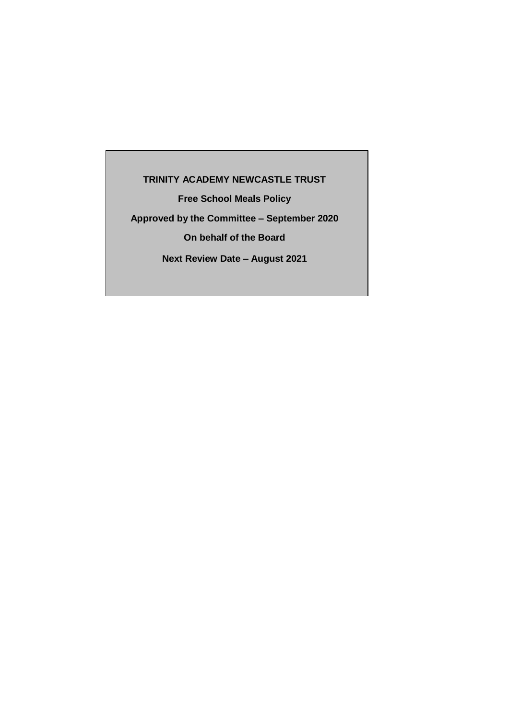# **TRINITY ACADEMY NEWCASTLE TRUST**

**Free School Meals Policy**

**Approved by the Committee – September 2020**

**On behalf of the Board**

**Next Review Date – August 2021**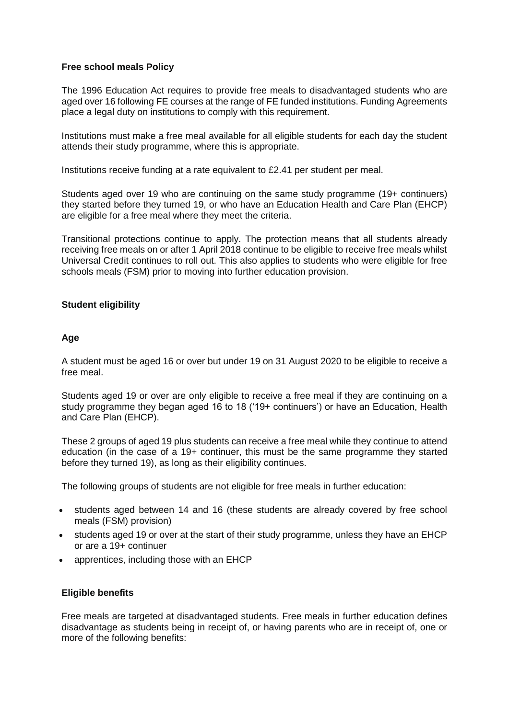## **Free school meals Policy**

The 1996 Education Act requires to provide free meals to disadvantaged students who are aged over 16 following FE courses at the range of FE funded institutions. Funding Agreements place a legal duty on institutions to comply with this requirement.

Institutions must make a free meal available for all eligible students for each day the student attends their study programme, where this is appropriate.

Institutions receive funding at a rate equivalent to £2.41 per student per meal.

Students aged over 19 who are continuing on the same study programme (19+ continuers) they started before they turned 19, or who have an Education Health and Care Plan (EHCP) are eligible for a free meal where they meet the criteria.

Transitional protections continue to apply. The protection means that all students already receiving free meals on or after 1 April 2018 continue to be eligible to receive free meals whilst Universal Credit continues to roll out. This also applies to students who were eligible for free schools meals (FSM) prior to moving into further education provision.

### **Student eligibility**

### **Age**

A student must be aged 16 or over but under 19 on 31 August 2020 to be eligible to receive a free meal.

Students aged 19 or over are only eligible to receive a free meal if they are continuing on a study programme they began aged 16 to 18 ('19+ continuers') or have an Education, Health and Care Plan (EHCP).

These 2 groups of aged 19 plus students can receive a free meal while they continue to attend education (in the case of a 19+ continuer, this must be the same programme they started before they turned 19), as long as their eligibility continues.

The following groups of students are not eligible for free meals in further education:

- students aged between 14 and 16 (these students are already covered by free school meals (FSM) provision)
- students aged 19 or over at the start of their study programme, unless they have an EHCP or are a 19+ continuer
- apprentices, including those with an EHCP

### **Eligible benefits**

Free meals are targeted at disadvantaged students. Free meals in further education defines disadvantage as students being in receipt of, or having parents who are in receipt of, one or more of the following benefits: